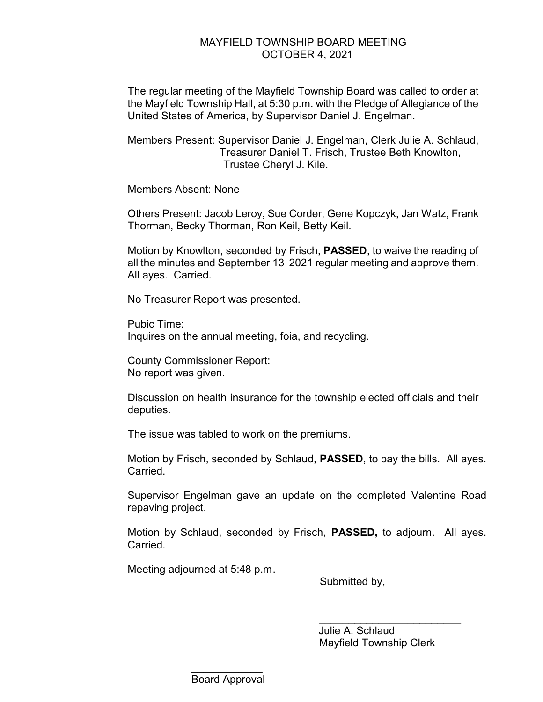## MAYFIELD TOWNSHIP BOARD MEETING OCTOBER 4, 2021

The regular meeting of the Mayfield Township Board was called to order at the Mayfield Township Hall, at 5:30 p.m. with the Pledge of Allegiance of the United States of America, by Supervisor Daniel J. Engelman.

Members Present: Supervisor Daniel J. Engelman, Clerk Julie A. Schlaud, Treasurer Daniel T. Frisch, Trustee Beth Knowlton, Trustee Cheryl J. Kile.

Members Absent: None

Others Present: Jacob Leroy, Sue Corder, Gene Kopczyk, Jan Watz, Frank Thorman, Becky Thorman, Ron Keil, Betty Keil.

Motion by Knowlton, seconded by Frisch, **PASSED**, to waive the reading of all the minutes and September 13 2021 regular meeting and approve them. All ayes. Carried.

No Treasurer Report was presented.

Pubic Time: Inquires on the annual meeting, foia, and recycling.

County Commissioner Report: No report was given.

Discussion on health insurance for the township elected officials and their deputies.

The issue was tabled to work on the premiums.

Motion by Frisch, seconded by Schlaud, **PASSED**, to pay the bills. All ayes. Carried.

Supervisor Engelman gave an update on the completed Valentine Road repaving project.

Motion by Schlaud, seconded by Frisch, **PASSED,** to adjourn. All ayes. Carried.

Meeting adjourned at 5:48 p.m.

Submitted by,

 Julie A. Schlaud Mayfield Township Clerk

\_\_\_\_\_\_\_\_\_\_\_\_\_\_\_\_\_\_\_\_\_\_\_\_

\_\_\_\_\_\_\_\_\_\_\_\_ Board Approval